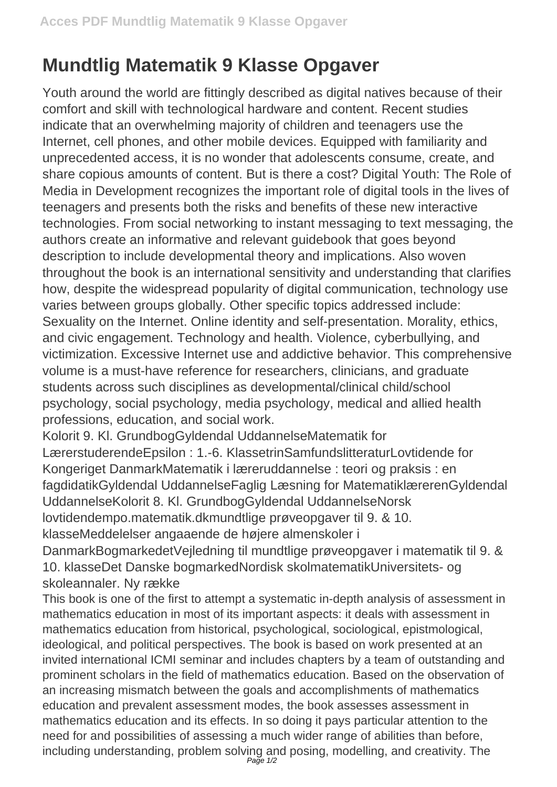## **Mundtlig Matematik 9 Klasse Opgaver**

Youth around the world are fittingly described as digital natives because of their comfort and skill with technological hardware and content. Recent studies indicate that an overwhelming majority of children and teenagers use the Internet, cell phones, and other mobile devices. Equipped with familiarity and unprecedented access, it is no wonder that adolescents consume, create, and share copious amounts of content. But is there a cost? Digital Youth: The Role of Media in Development recognizes the important role of digital tools in the lives of teenagers and presents both the risks and benefits of these new interactive technologies. From social networking to instant messaging to text messaging, the authors create an informative and relevant guidebook that goes beyond description to include developmental theory and implications. Also woven throughout the book is an international sensitivity and understanding that clarifies how, despite the widespread popularity of digital communication, technology use varies between groups globally. Other specific topics addressed include: Sexuality on the Internet. Online identity and self-presentation. Morality, ethics, and civic engagement. Technology and health. Violence, cyberbullying, and victimization. Excessive Internet use and addictive behavior. This comprehensive volume is a must-have reference for researchers, clinicians, and graduate students across such disciplines as developmental/clinical child/school psychology, social psychology, media psychology, medical and allied health professions, education, and social work.

Kolorit 9. Kl. GrundbogGyldendal UddannelseMatematik for LærerstuderendeEpsilon : 1.-6. KlassetrinSamfundslitteraturLovtidende for Kongeriget DanmarkMatematik i læreruddannelse : teori og praksis : en fagdidatikGyldendal UddannelseFaglig Læsning for MatematiklærerenGyldendal UddannelseKolorit 8. Kl. GrundbogGyldendal UddannelseNorsk lovtidendempo.matematik.dkmundtlige prøveopgaver til 9. & 10. klasseMeddelelser angaaende de højere almenskoler i

DanmarkBogmarkedetVejledning til mundtlige prøveopgaver i matematik til 9. & 10. klasseDet Danske bogmarkedNordisk skolmatematikUniversitets- og skoleannaler. Ny række

This book is one of the first to attempt a systematic in-depth analysis of assessment in mathematics education in most of its important aspects: it deals with assessment in mathematics education from historical, psychological, sociological, epistmological, ideological, and political perspectives. The book is based on work presented at an invited international ICMI seminar and includes chapters by a team of outstanding and prominent scholars in the field of mathematics education. Based on the observation of an increasing mismatch between the goals and accomplishments of mathematics education and prevalent assessment modes, the book assesses assessment in mathematics education and its effects. In so doing it pays particular attention to the need for and possibilities of assessing a much wider range of abilities than before, including understanding, problem solving and posing, modelling, and creativity. The